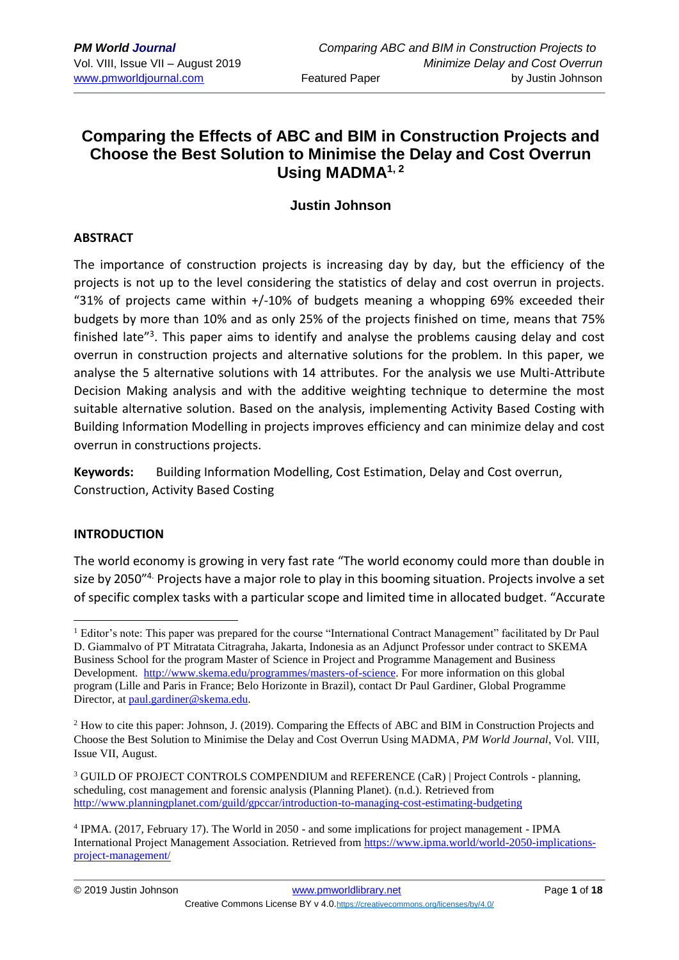# **Comparing the Effects of ABC and BIM in Construction Projects and Choose the Best Solution to Minimise the Delay and Cost Overrun Using MADMA1, 2**

## **Justin Johnson**

#### **ABSTRACT**

The importance of construction projects is increasing day by day, but the efficiency of the projects is not up to the level considering the statistics of delay and cost overrun in projects. "31% of projects came within  $+/-10\%$  of budgets meaning a whopping 69% exceeded their budgets by more than 10% and as only 25% of the projects finished on time, means that 75% finished late"<sup>3</sup>. This paper aims to identify and analyse the problems causing delay and cost overrun in construction projects and alternative solutions for the problem. In this paper, we analyse the 5 alternative solutions with 14 attributes. For the analysis we use Multi-Attribute Decision Making analysis and with the additive weighting technique to determine the most suitable alternative solution. Based on the analysis, implementing Activity Based Costing with Building Information Modelling in projects improves efficiency and can minimize delay and cost overrun in constructions projects.

**Keywords:** Building Information Modelling, Cost Estimation, Delay and Cost overrun, Construction, Activity Based Costing

## **INTRODUCTION**

The world economy is growing in very fast rate "The world economy could more than double in size by 2050<sup>"4.</sup> Projects have a major role to play in this booming situation. Projects involve a set of specific complex tasks with a particular scope and limited time in allocated budget. "Accurate

<sup>&</sup>lt;u>.</u> <sup>1</sup> Editor's note: This paper was prepared for the course "International Contract Management" facilitated by Dr Paul D. Giammalvo of PT Mitratata Citragraha, Jakarta, Indonesia as an Adjunct Professor under contract to SKEMA Business School for the program Master of Science in Project and Programme Management and Business Development. [http://www.skema.edu/programmes/masters-of-science.](http://www.skema.edu/programmes/masters-of-science) For more information on this global program (Lille and Paris in France; Belo Horizonte in Brazil), contact Dr Paul Gardiner, Global Programme Director, at [paul.gardiner@skema.edu.](mailto:paul.gardiner@skema.edu)

<sup>2</sup> How to cite this paper: Johnson, J. (2019). Comparing the Effects of ABC and BIM in Construction Projects and Choose the Best Solution to Minimise the Delay and Cost Overrun Using MADMA, *PM World Journal*, Vol. VIII, Issue VII, August.

<sup>&</sup>lt;sup>3</sup> GUILD OF PROJECT CONTROLS COMPENDIUM and REFERENCE (CaR) | Project Controls - planning, scheduling, cost management and forensic analysis (Planning Planet). (n.d.). Retrieved from <http://www.planningplanet.com/guild/gpccar/introduction-to-managing-cost-estimating-budgeting>

<sup>4</sup> IPMA. (2017, February 17). The World in 2050 - and some implications for project management - IPMA International Project Management Association. Retrieved from [https://www.ipma.world/world-2050-implications](https://www.ipma.world/world-2050-implications-project-management/)[project-management/](https://www.ipma.world/world-2050-implications-project-management/)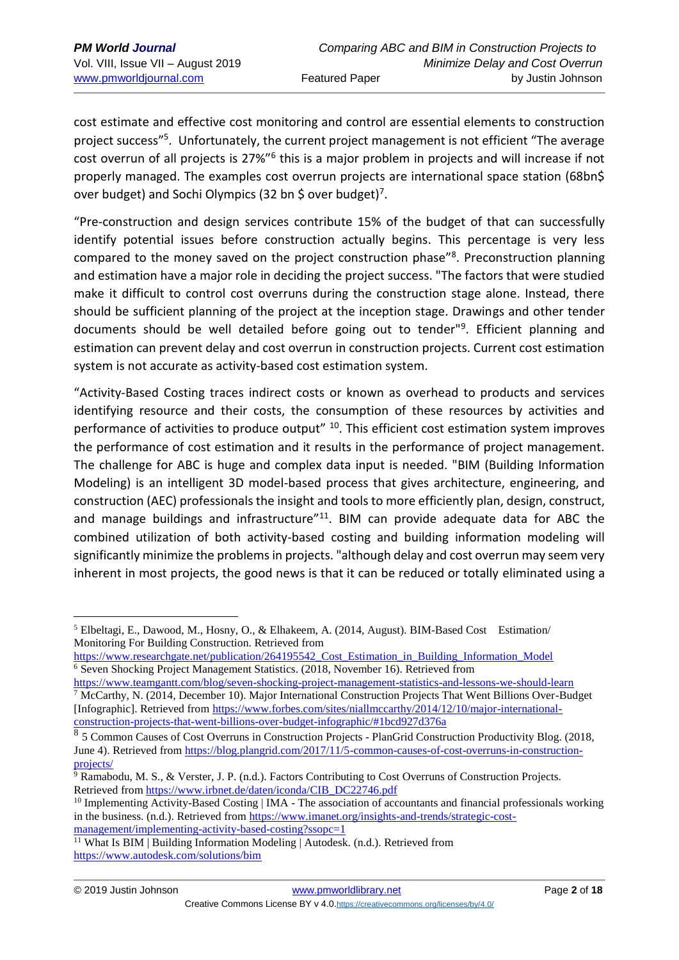cost estimate and effective cost monitoring and control are essential elements to construction project success"<sup>5</sup>. Unfortunately, the current project management is not efficient "The average cost overrun of all projects is 27%"<sup>6</sup> this is a major problem in projects and will increase if not properly managed. The examples cost overrun projects are international space station (68bn\$ over budget) and Sochi Olympics (32 bn \$ over budget)<sup>7</sup>.

"Pre-construction and design services contribute 15% of the budget of that can successfully identify potential issues before construction actually begins. This percentage is very less compared to the money saved on the project construction phase"<sup>8</sup>. Preconstruction planning and estimation have a major role in deciding the project success. "The factors that were studied make it difficult to control cost overruns during the construction stage alone. Instead, there should be sufficient planning of the project at the inception stage. Drawings and other tender documents should be well detailed before going out to tender"<sup>9</sup>. Efficient planning and estimation can prevent delay and cost overrun in construction projects. Current cost estimation system is not accurate as activity-based cost estimation system.

"Activity-Based Costing traces indirect costs or known as overhead to products and services identifying resource and their costs, the consumption of these resources by activities and performance of activities to produce output<sup>" 10</sup>. This efficient cost estimation system improves the performance of cost estimation and it results in the performance of project management. The challenge for ABC is huge and complex data input is needed. "BIM (Building Information Modeling) is an intelligent 3D model-based process that gives architecture, engineering, and construction (AEC) professionals the insight and tools to more efficiently plan, design, construct, and manage buildings and infrastructure $11$ <sup>11</sup>. BIM can provide adequate data for ABC the combined utilization of both activity-based costing and building information modeling will significantly minimize the problems in projects. "although delay and cost overrun may seem very inherent in most projects, the good news is that it can be reduced or totally eliminated using a

<sup>5</sup> Elbeltagi, E., Dawood, M., Hosny, O., & Elhakeem, A. (2014, August). BIM-Based Cost Estimation/ Monitoring For Building Construction. Retrieved from

https://www.researchgate.net/publication/264195542 Cost\_Estimation\_in\_Building\_Information\_Model <sup>6</sup> Seven Shocking Project Management Statistics. (2018, November 16). Retrieved from

<https://www.teamgantt.com/blog/seven-shocking-project-management-statistics-and-lessons-we-should-learn> <sup>7</sup> McCarthy, N. (2014, December 10). Major International Construction Projects That Went Billions Over-Budget [Infographic]. Retrieved from [https://www.forbes.com/sites/niallmccarthy/2014/12/10/major-international](https://www.forbes.com/sites/niallmccarthy/2014/12/10/major-international-construction-projects-that-went-billions-over-budget-infographic/#1bcd927d376a)[construction-projects-that-went-billions-over-budget-infographic/#1bcd927d376a](https://www.forbes.com/sites/niallmccarthy/2014/12/10/major-international-construction-projects-that-went-billions-over-budget-infographic/#1bcd927d376a)

<sup>8</sup> 5 Common Causes of Cost Overruns in Construction Projects - PlanGrid Construction Productivity Blog. (2018, June 4). Retrieved from [https://blog.plangrid.com/2017/11/5-common-causes-of-cost-overruns-in-construction](https://blog.plangrid.com/2017/11/5-common-causes-of-cost-overruns-in-construction-projects/)[projects/](https://blog.plangrid.com/2017/11/5-common-causes-of-cost-overruns-in-construction-projects/)

<sup>9</sup> Ramabodu, M. S., & Verster, J. P. (n.d.). Factors Contributing to Cost Overruns of Construction Projects. Retrieved from [https://www.irbnet.de/daten/iconda/CIB\\_DC22746.pdf](https://www.irbnet.de/daten/iconda/CIB_DC22746.pdf)

 $10$  Implementing Activity-Based Costing | IMA - The association of accountants and financial professionals working in the business. (n.d.). Retrieved fro[m https://www.imanet.org/insights-and-trends/strategic-cost](https://www.imanet.org/insights-and-trends/strategic-cost-management/implementing-activity-based-costing?ssopc=1)[management/implementing-activity-based-costing?ssopc=1](https://www.imanet.org/insights-and-trends/strategic-cost-management/implementing-activity-based-costing?ssopc=1)

What Is BIM | Building Information Modeling | Autodesk. (n.d.). Retrieved from <https://www.autodesk.com/solutions/bim>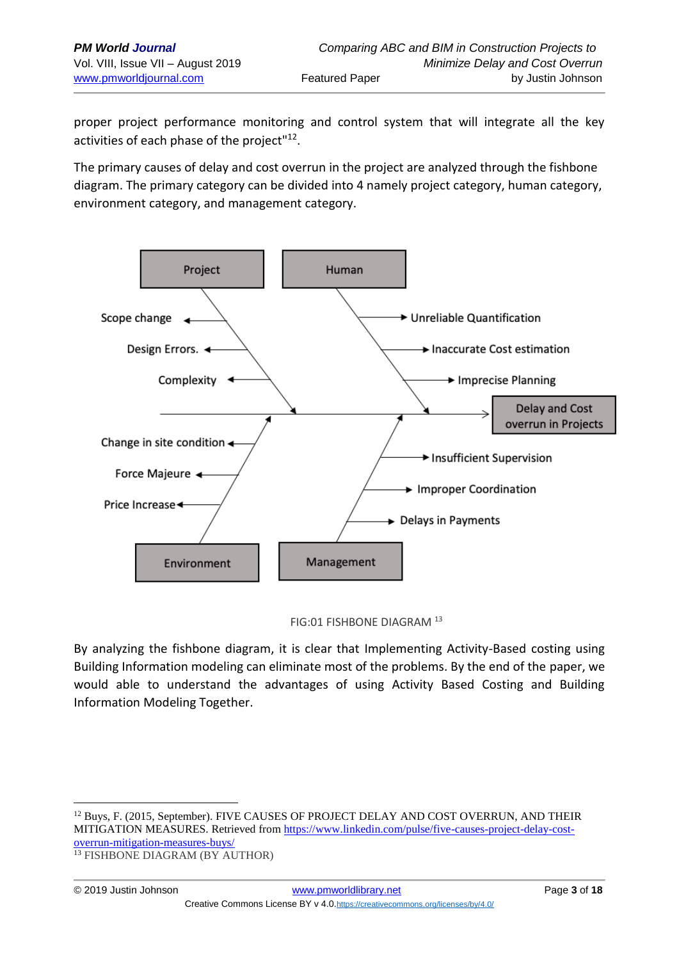1

proper project performance monitoring and control system that will integrate all the key activities of each phase of the project"<sup>12</sup>.

The primary causes of delay and cost overrun in the project are analyzed through the fishbone diagram. The primary category can be divided into 4 namely project category, human category, environment category, and management category.



FIG:01 FISHBONE DIAGRAM <sup>13</sup>

By analyzing the fishbone diagram, it is clear that Implementing Activity-Based costing using Building Information modeling can eliminate most of the problems. By the end of the paper, we would able to understand the advantages of using Activity Based Costing and Building Information Modeling Together.

<sup>&</sup>lt;sup>12</sup> Buys, F. (2015, September). FIVE CAUSES OF PROJECT DELAY AND COST OVERRUN, AND THEIR MITIGATION MEASURES. Retrieved from [https://www.linkedin.com/pulse/five-causes-project-delay-cost](file:///C:/2018%20Course%20Offerings/SKEMA/Lille%203/Lille%203-%202nd%20Drafts/se/five-causes-project-delay-cost-overrun-mitigation-measures-buys)[overrun-mitigation-measures-buys/](file:///C:/2018%20Course%20Offerings/SKEMA/Lille%203/Lille%203-%202nd%20Drafts/se/five-causes-project-delay-cost-overrun-mitigation-measures-buys) <sup>13</sup> FISHBONE DIAGRAM (BY AUTHOR)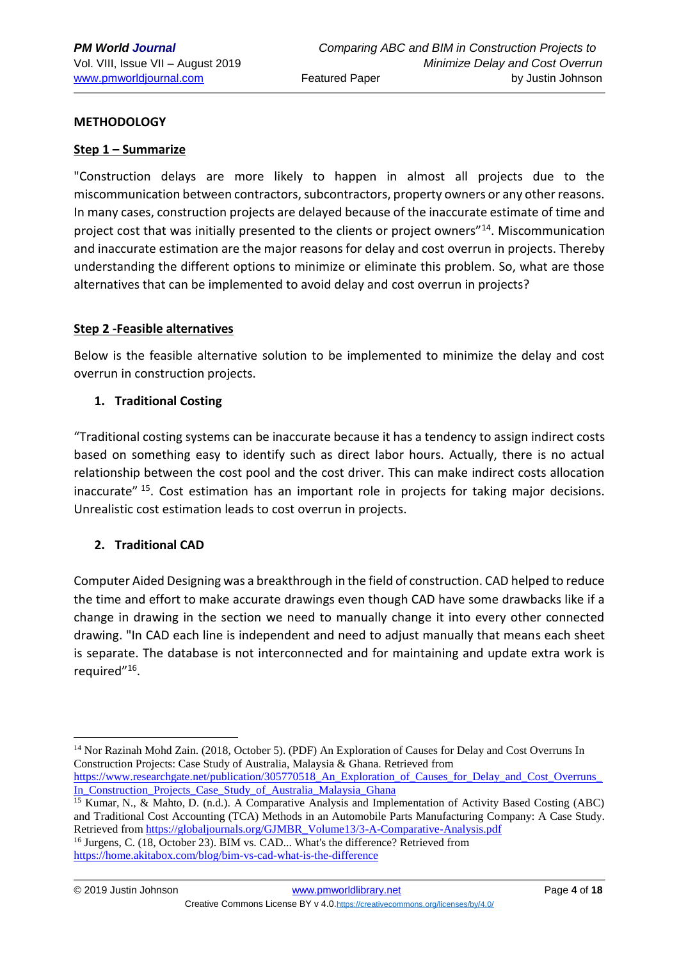### **METHODOLOGY**

#### **Step 1 – Summarize**

"Construction delays are more likely to happen in almost all projects due to the miscommunication between contractors, subcontractors, property owners or any other reasons. In many cases, construction projects are delayed because of the inaccurate estimate of time and project cost that was initially presented to the clients or project owners<sup>"14</sup>. Miscommunication and inaccurate estimation are the major reasons for delay and cost overrun in projects. Thereby understanding the different options to minimize or eliminate this problem. So, what are those alternatives that can be implemented to avoid delay and cost overrun in projects?

#### **Step 2 -Feasible alternatives**

Below is the feasible alternative solution to be implemented to minimize the delay and cost overrun in construction projects.

### **1. Traditional Costing**

"Traditional costing systems can be inaccurate because it has a tendency to assign indirect costs based on something easy to identify such as direct labor hours. Actually, there is no actual relationship between the cost pool and the cost driver. This can make indirect costs allocation inaccurate" <sup>15</sup>. Cost estimation has an important role in projects for taking major decisions. Unrealistic cost estimation leads to cost overrun in projects.

## **2. Traditional CAD**

Computer Aided Designing was a breakthrough in the field of construction. CAD helped to reduce the time and effort to make accurate drawings even though CAD have some drawbacks like if a change in drawing in the section we need to manually change it into every other connected drawing. "In CAD each line is independent and need to adjust manually that means each sheet is separate. The database is not interconnected and for maintaining and update extra work is required"<sup>16</sup>.

[In\\_Construction\\_Projects\\_Case\\_Study\\_of\\_Australia\\_Malaysia\\_Ghana](https://www.researchgate.net/publication/305770518_An_Exploration_of_Causes_for_Delay_and_Cost_Overruns_In_Construction_Projects_Case_Study_of_Australia_Malaysia_Ghana)

<sup>14</sup> Nor Razinah Mohd Zain. (2018, October 5). (PDF) An Exploration of Causes for Delay and Cost Overruns In Construction Projects: Case Study of Australia, Malaysia & Ghana. Retrieved from [https://www.researchgate.net/publication/305770518\\_An\\_Exploration\\_of\\_Causes\\_for\\_Delay\\_and\\_Cost\\_Overruns\\_](https://www.researchgate.net/publication/305770518_An_Exploration_of_Causes_for_Delay_and_Cost_Overruns_In_Construction_Projects_Case_Study_of_Australia_Malaysia_Ghana)

<sup>15</sup> Kumar, N., & Mahto, D. (n.d.). A Comparative Analysis and Implementation of Activity Based Costing (ABC) and Traditional Cost Accounting (TCA) Methods in an Automobile Parts Manufacturing Company: A Case Study. Retrieved from [https://globaljournals.org/GJMBR\\_Volume13/3-A-Comparative-Analysis.pdf](https://globaljournals.org/GJMBR_Volume13/3-A-Comparative-Analysis.pdf) <sup>16</sup> Jurgens, C. (18, October 23). BIM vs. CAD... What's the difference? Retrieved from

<https://home.akitabox.com/blog/bim-vs-cad-what-is-the-difference>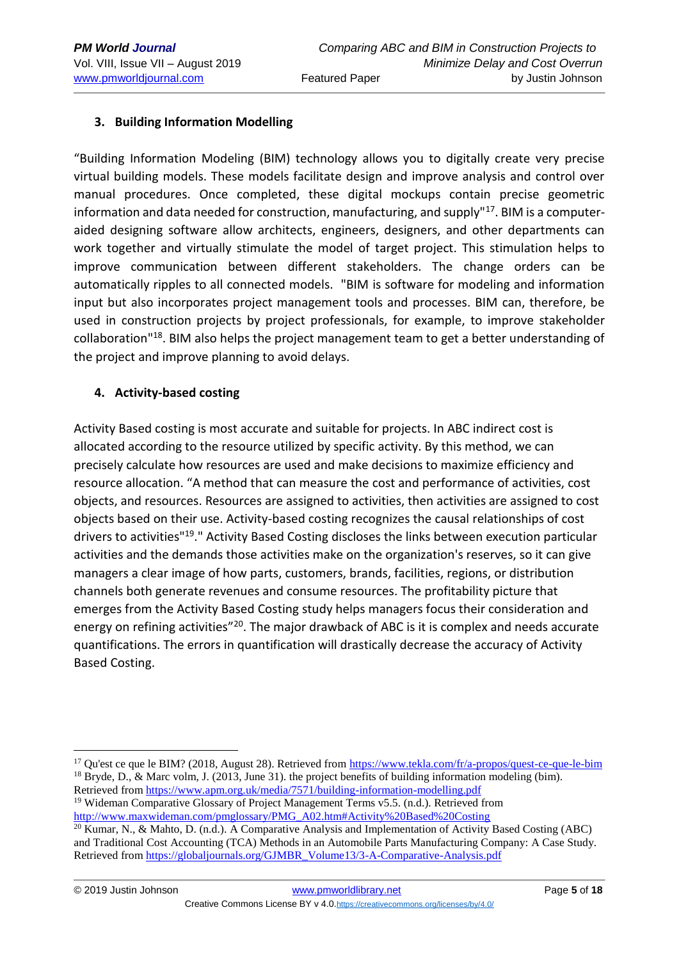## **3. Building Information Modelling**

"Building Information Modeling (BIM) technology allows you to digitally create very precise virtual building models. These models facilitate design and improve analysis and control over manual procedures. Once completed, these digital mockups contain precise geometric information and data needed for construction, manufacturing, and supply $17$ . BIM is a computeraided designing software allow architects, engineers, designers, and other departments can work together and virtually stimulate the model of target project. This stimulation helps to improve communication between different stakeholders. The change orders can be automatically ripples to all connected models. "BIM is software for modeling and information input but also incorporates project management tools and processes. BIM can, therefore, be used in construction projects by project professionals, for example, to improve stakeholder collaboration"<sup>18</sup>. BIM also helps the project management team to get a better understanding of the project and improve planning to avoid delays.

### **4. Activity-based costing**

<u>.</u>

Activity Based costing is most accurate and suitable for projects. In ABC indirect cost is allocated according to the resource utilized by specific activity. By this method, we can precisely calculate how resources are used and make decisions to maximize efficiency and resource allocation. "A method that can measure the cost and performance of activities, cost objects, and resources. Resources are assigned to activities, then activities are assigned to cost objects based on their use. Activity-based costing recognizes the causal relationships of cost drivers to activities"<sup>19</sup>." Activity Based Costing discloses the links between execution particular activities and the demands those activities make on the organization's reserves, so it can give managers a clear image of how parts, customers, brands, facilities, regions, or distribution channels both generate revenues and consume resources. The profitability picture that emerges from the Activity Based Costing study helps managers focus their consideration and energy on refining activities"<sup>20</sup>. The major drawback of ABC is it is complex and needs accurate quantifications. The errors in quantification will drastically decrease the accuracy of Activity Based Costing.

<sup>&</sup>lt;sup>17</sup> Qu'est ce que le BIM? (2018, August 28). Retrieved from<https://www.tekla.com/fr/a-propos/quest-ce-que-le-bim> <sup>18</sup> Bryde, D., & Marc volm, J. (2013, June 31). the project benefits of building information modeling (bim). Retrieved from<https://www.apm.org.uk/media/7571/building-information-modelling.pdf>

<sup>&</sup>lt;sup>19</sup> Wideman Comparative Glossary of Project Management Terms v5.5. (n.d.). Retrieved from [http://www.maxwideman.com/pmglossary/PMG\\_A02.htm#Activity%20Based%20Costing](http://www.maxwideman.com/pmglossary/PMG_A02.htm#Activity%20Based%20Costing)

<sup>20</sup> Kumar, N., & Mahto, D. (n.d.). A Comparative Analysis and Implementation of Activity Based Costing (ABC) and Traditional Cost Accounting (TCA) Methods in an Automobile Parts Manufacturing Company: A Case Study. Retrieved from [https://globaljournals.org/GJMBR\\_Volume13/3-A-Comparative-Analysis.pdf](https://globaljournals.org/GJMBR_Volume13/3-A-Comparative-Analysis.pdf)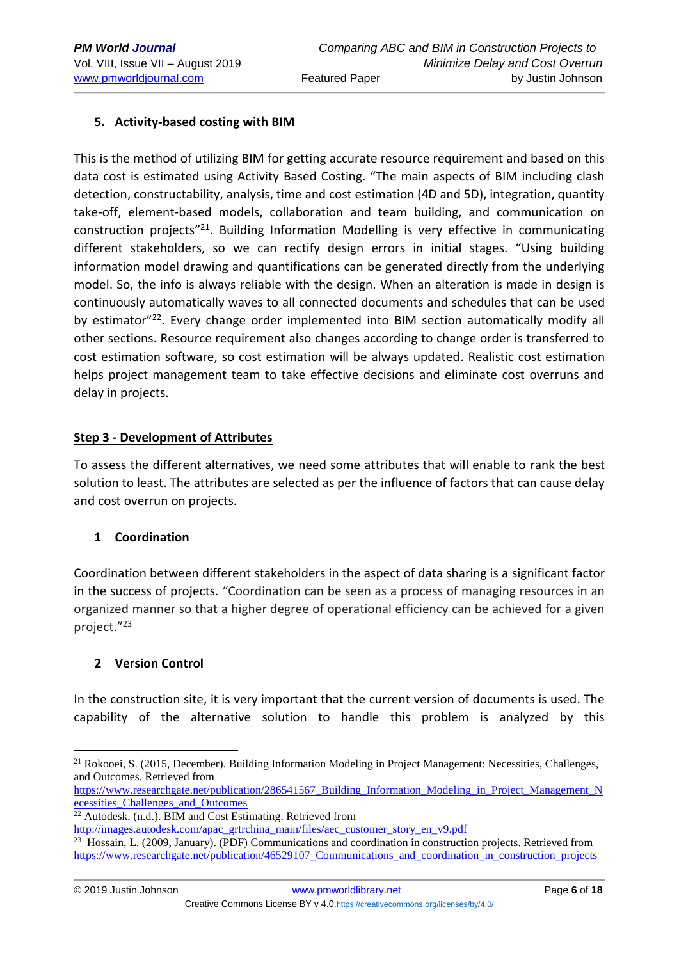## **5. Activity-based costing with BIM**

This is the method of utilizing BIM for getting accurate resource requirement and based on this data cost is estimated using Activity Based Costing. "The main aspects of BIM including clash detection, constructability, analysis, time and cost estimation (4D and 5D), integration, quantity take-off, element-based models, collaboration and team building, and communication on construction projects"<sup>21</sup>. Building Information Modelling is very effective in communicating different stakeholders, so we can rectify design errors in initial stages. "Using building information model drawing and quantifications can be generated directly from the underlying model. So, the info is always reliable with the design. When an alteration is made in design is continuously automatically waves to all connected documents and schedules that can be used by estimator<sup>"22</sup>. Every change order implemented into BIM section automatically modify all other sections. Resource requirement also changes according to change order is transferred to cost estimation software, so cost estimation will be always updated. Realistic cost estimation helps project management team to take effective decisions and eliminate cost overruns and delay in projects.

### **Step 3 - Development of Attributes**

To assess the different alternatives, we need some attributes that will enable to rank the best solution to least. The attributes are selected as per the influence of factors that can cause delay and cost overrun on projects.

## **1 Coordination**

Coordination between different stakeholders in the aspect of data sharing is a significant factor in the success of projects. "Coordination can be seen as a process of managing resources in an organized manner so that a higher degree of operational efficiency can be achieved for a given project."<sup>23</sup>

## **2 Version Control**

In the construction site, it is very important that the current version of documents is used. The capability of the alternative solution to handle this problem is analyzed by this

[https://www.researchgate.net/publication/286541567\\_Building\\_Information\\_Modeling\\_in\\_Project\\_Management\\_N](https://www.researchgate.net/publication/286541567_Building_Information_Modeling_in_Project_Management_Necessities_Challenges_and_Outcomes) [ecessities\\_Challenges\\_and\\_Outcomes](https://www.researchgate.net/publication/286541567_Building_Information_Modeling_in_Project_Management_Necessities_Challenges_and_Outcomes)

<sup>&</sup>lt;u>.</u> <sup>21</sup> Rokooei, S. (2015, December). Building Information Modeling in Project Management: Necessities, Challenges, and Outcomes. Retrieved from

<sup>22</sup> Autodesk. (n.d.). BIM and Cost Estimating. Retrieved from

[http://images.autodesk.com/apac\\_grtrchina\\_main/files/aec\\_customer\\_story\\_en\\_v9.pdf](http://images.autodesk.com/apac_grtrchina_main/files/aec_customer_story_en_v9.pdf)

<sup>23</sup> Hossain, L. (2009, January). (PDF) Communications and coordination in construction projects. Retrieved from [https://www.researchgate.net/publication/46529107\\_Communications\\_and\\_coordination\\_in\\_construction\\_projects](https://www.researchgate.net/publication/46529107_Communications_and_coordination_in_construction_projects)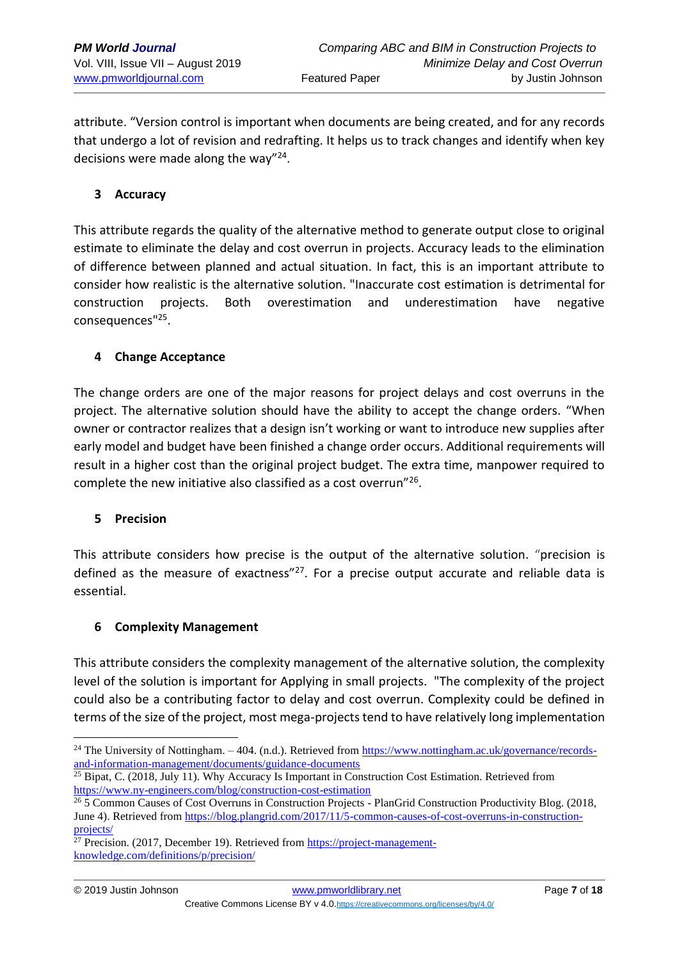attribute. "Version control is important when documents are being created, and for any records that undergo a lot of revision and redrafting. It helps us to track changes and identify when key decisions were made along the way"<sup>24</sup>.

### **3 Accuracy**

This attribute regards the quality of the alternative method to generate output close to original estimate to eliminate the delay and cost overrun in projects. Accuracy leads to the elimination of difference between planned and actual situation. In fact, this is an important attribute to consider how realistic is the alternative solution. "Inaccurate cost estimation is detrimental for construction projects. Both overestimation and underestimation have negative consequences"<sup>25</sup> .

### **4 Change Acceptance**

The change orders are one of the major reasons for project delays and cost overruns in the project. The alternative solution should have the ability to accept the change orders. "When owner or contractor realizes that a design isn't working or want to introduce new supplies after early model and budget have been finished a change order occurs. Additional requirements will result in a higher cost than the original project budget. The extra time, manpower required to complete the new initiative also classified as a cost overrun"<sup>26</sup>.

#### **5 Precision**

This attribute considers how precise is the output of the alternative solution. "precision is defined as the measure of exactness"<sup>27</sup>. For a precise output accurate and reliable data is essential.

#### **6 Complexity Management**

This attribute considers the complexity management of the alternative solution, the complexity level of the solution is important for Applying in small projects. "The complexity of the project could also be a contributing factor to delay and cost overrun. Complexity could be defined in terms of the size of the project, most mega-projects tend to have relatively long implementation

 $25$  Bipat, C. (2018, July 11). Why Accuracy Is Important in Construction Cost Estimation. Retrieved from <https://www.ny-engineers.com/blog/construction-cost-estimation>

<sup>&</sup>lt;sup>24</sup> The University of Nottingham. – 404. (n.d.). Retrieved from [https://www.nottingham.ac.uk/governance/records](https://www.nottingham.ac.uk/governance/records-and-information-management/documents/guidance-documents)[and-information-management/documents/guidance-documents](https://www.nottingham.ac.uk/governance/records-and-information-management/documents/guidance-documents)

<sup>&</sup>lt;sup>26</sup> 5 Common Causes of Cost Overruns in Construction Projects - PlanGrid Construction Productivity Blog. (2018, June 4). Retrieved from [https://blog.plangrid.com/2017/11/5-common-causes-of-cost-overruns-in-construction](https://blog.plangrid.com/2017/11/5-common-causes-of-cost-overruns-in-construction-projects/)[projects/](https://blog.plangrid.com/2017/11/5-common-causes-of-cost-overruns-in-construction-projects/)

 $27$  Precision. (2017, December 19). Retrieved from [https://project-management](https://project-management-knowledge.com/definitions/p/precision/)[knowledge.com/definitions/p/precision/](https://project-management-knowledge.com/definitions/p/precision/)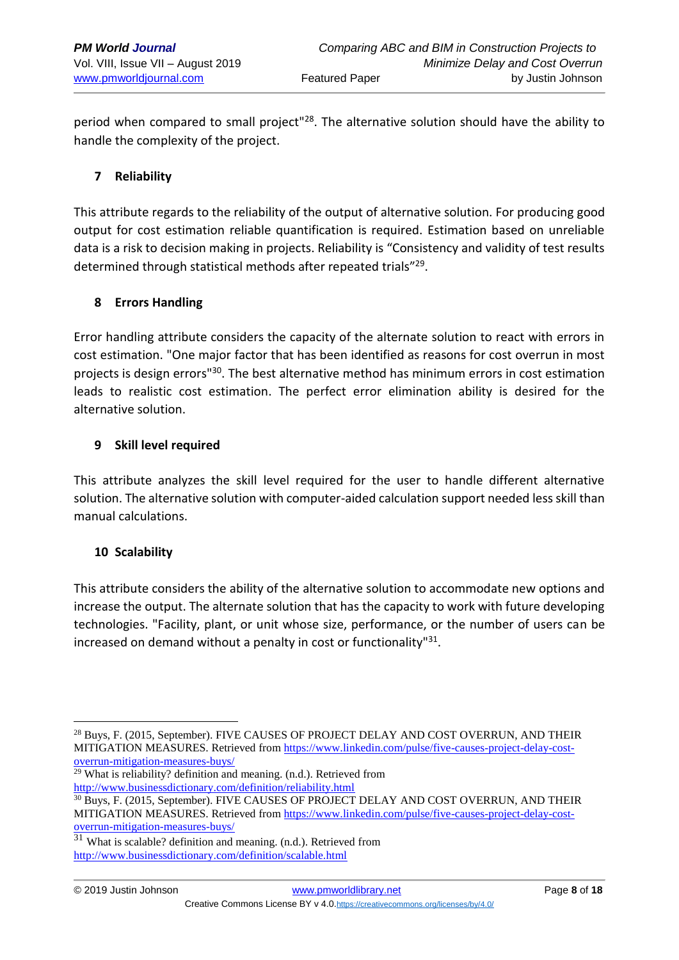period when compared to small project<sup>"28</sup>. The alternative solution should have the ability to handle the complexity of the project.

## **7 Reliability**

This attribute regards to the reliability of the output of alternative solution. For producing good output for cost estimation reliable quantification is required. Estimation based on unreliable data is a risk to decision making in projects. Reliability is "Consistency and validity of test results determined through statistical methods after repeated trials"<sup>29</sup>.

## **8 Errors Handling**

Error handling attribute considers the capacity of the alternate solution to react with errors in cost estimation. "One major factor that has been identified as reasons for cost overrun in most projects is design errors<sup>"30</sup>. The best alternative method has minimum errors in cost estimation leads to realistic cost estimation. The perfect error elimination ability is desired for the alternative solution.

## **9 Skill level required**

This attribute analyzes the skill level required for the user to handle different alternative solution. The alternative solution with computer-aided calculation support needed less skill than manual calculations.

## **10 Scalability**

This attribute considers the ability of the alternative solution to accommodate new options and increase the output. The alternate solution that has the capacity to work with future developing technologies. "Facility, plant, or unit whose size, performance, or the number of users can be increased on demand without a penalty in cost or functionality"<sup>31</sup>.

<sup>29</sup> What is reliability? definition and meaning. (n.d.). Retrieved from <http://www.businessdictionary.com/definition/reliability.html>

 $\frac{31}{31}$  What is scalable? definition and meaning. (n.d.). Retrieved from <http://www.businessdictionary.com/definition/scalable.html>

<sup>&</sup>lt;sup>28</sup> Buys, F. (2015, September). FIVE CAUSES OF PROJECT DELAY AND COST OVERRUN, AND THEIR MITIGATION MEASURES. Retrieved from [https://www.linkedin.com/pulse/five-causes-project-delay-cost](file:///C:/2018%20Course%20Offerings/SKEMA/Lille%203/Lille%203-%202nd%20Drafts/se/five-causes-project-delay-cost-overrun-mitigation-measures-buys)[overrun-mitigation-measures-buys/](file:///C:/2018%20Course%20Offerings/SKEMA/Lille%203/Lille%203-%202nd%20Drafts/se/five-causes-project-delay-cost-overrun-mitigation-measures-buys)

<sup>30</sup> Buys, F. (2015, September). FIVE CAUSES OF PROJECT DELAY AND COST OVERRUN, AND THEIR MITIGATION MEASURES. Retrieved from [https://www.linkedin.com/pulse/five-causes-project-delay-cost](file:///C:/2018%20Course%20Offerings/SKEMA/Lille%203/Lille%203-%202nd%20Drafts/se/five-causes-project-delay-cost-overrun-mitigation-measures-buys)[overrun-mitigation-measures-buys/](file:///C:/2018%20Course%20Offerings/SKEMA/Lille%203/Lille%203-%202nd%20Drafts/se/five-causes-project-delay-cost-overrun-mitigation-measures-buys)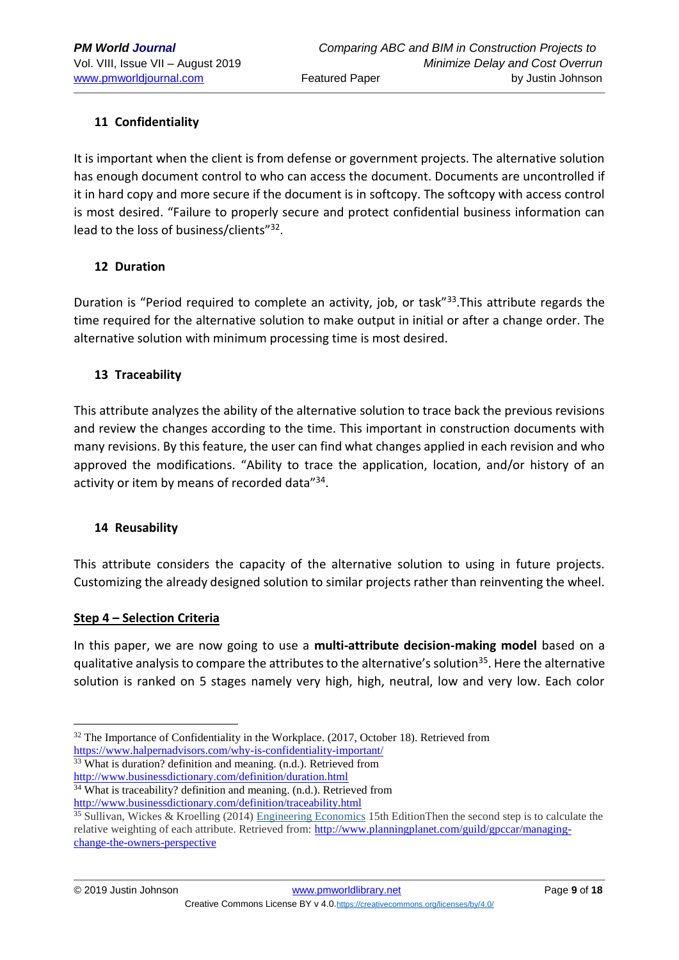## **11 Confidentiality**

It is important when the client is from defense or government projects. The alternative solution has enough document control to who can access the document. Documents are uncontrolled if it in hard copy and more secure if the document is in softcopy. The softcopy with access control is most desired. "Failure to properly secure and protect confidential business information can lead to the loss of business/clients"<sup>32</sup>.

### **12 Duration**

Duration is "Period required to complete an activity, job, or task"<sup>33</sup>.This attribute regards the time required for the alternative solution to make output in initial or after a change order. The alternative solution with minimum processing time is most desired.

### **13 Traceability**

This attribute analyzes the ability of the alternative solution to trace back the previous revisions and review the changes according to the time. This important in construction documents with many revisions. By this feature, the user can find what changes applied in each revision and who approved the modifications. "Ability to trace the application, location, and/or history of an activity or item by means of recorded data"<sup>34</sup>.

## **14 Reusability**

This attribute considers the capacity of the alternative solution to using in future projects. Customizing the already designed solution to similar projects rather than reinventing the wheel.

## **Step 4 – Selection Criteria**

1

In this paper, we are now going to use a **multi-attribute decision-making model** based on a qualitative analysis to compare the attributes to the alternative's solution<sup>35</sup>. Here the alternative solution is ranked on 5 stages namely very high, high, neutral, low and very low. Each color

<sup>33</sup> What is duration? definition and meaning. (n.d.). Retrieved from <http://www.businessdictionary.com/definition/duration.html>

<sup>&</sup>lt;sup>32</sup> The Importance of Confidentiality in the Workplace. (2017, October 18). Retrieved from <https://www.halpernadvisors.com/why-is-confidentiality-important/>

<sup>34</sup> What is traceability? definition and meaning. (n.d.). Retrieved from <http://www.businessdictionary.com/definition/traceability.html>

<sup>35</sup> Sullivan, Wickes & Kroelling (2014) [Engineering Economics](http://www.amazon.com/Engineering-Economy-Edition-William-Sullivan/dp/0132554909) 15th EditionThen the second step is to calculate the relative weighting of each attribute. Retrieved from: [http://www.planningplanet.com/guild/gpccar/managing](http://www.planningplanet.com/guild/gpccar/managing-change-the-owners-perspective)[change-the-owners-perspective](http://www.planningplanet.com/guild/gpccar/managing-change-the-owners-perspective)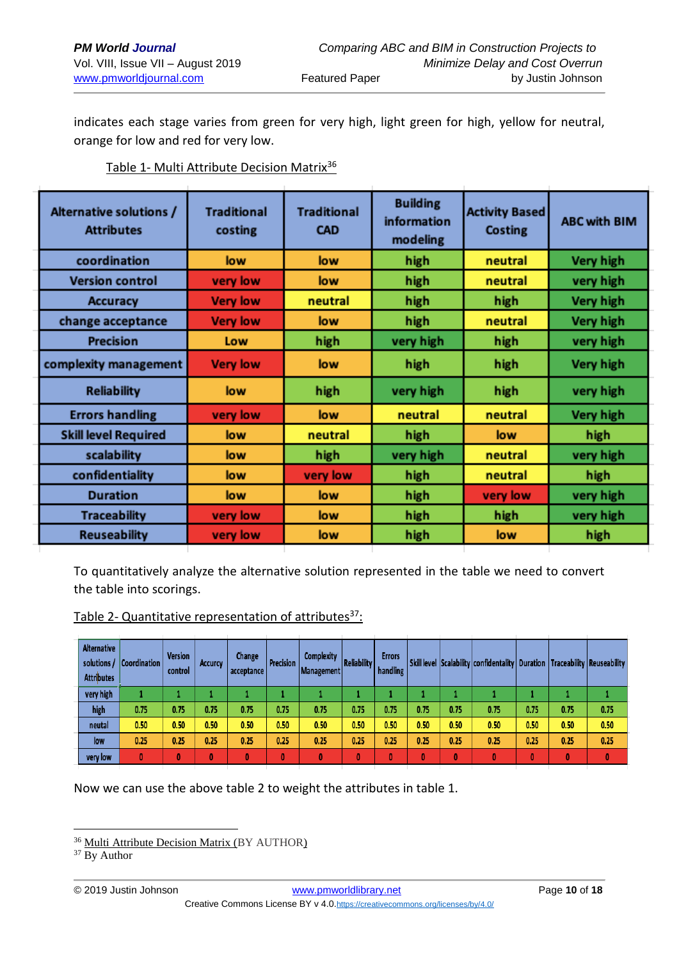indicates each stage varies from green for very high, light green for high, yellow for neutral, orange for low and red for very low.

| Alternative solutions /<br><b>Attributes</b> | <b>Traditional</b><br>costing | <b>Traditional</b><br><b>CAD</b> | <b>Building</b><br>information<br>modeling | <b>Activity Based</b><br>Costing | <b>ABC with BIM</b> |  |
|----------------------------------------------|-------------------------------|----------------------------------|--------------------------------------------|----------------------------------|---------------------|--|
| coordination                                 | low                           | low                              | high                                       | neutral                          | Very high           |  |
| <b>Version control</b>                       | very low                      | low                              | high                                       | neutral                          | very high           |  |
| <b>Accuracy</b>                              | <b>Very low</b>               | neutral                          | high                                       | high                             | Very high           |  |
| change acceptance                            | <b>Very low</b>               | low                              | high                                       | neutral                          | Very high           |  |
| <b>Precision</b>                             | Low                           | high                             | very high                                  | high                             | very high           |  |
| complexity management                        | <b>Very low</b>               | low                              | high                                       | high                             | Very high           |  |
| <b>Reliability</b>                           | low                           | high                             | very high                                  | high                             | very high           |  |
| <b>Errors handling</b>                       | very low                      | low                              | neutral                                    | neutral                          | Very high           |  |
| <b>Skill level Required</b>                  | low                           | neutral                          | high                                       | low                              | high                |  |
| scalability                                  | low                           | high                             | very high                                  | neutral                          | very high           |  |
| confidentiality                              | low                           | very low                         | high                                       | neutral                          | high                |  |
| <b>Duration</b>                              | low                           | low                              | high                                       | very low                         | very high           |  |
| <b>Traceability</b>                          | very low                      | low                              | high                                       | high                             | very high           |  |
| <b>Reuseability</b>                          | very low                      | low                              | high                                       | low                              | high                |  |

Table 1- Multi Attribute Decision Matrix<sup>36</sup>

To quantitatively analyze the alternative solution represented in the table we need to convert the table into scorings.

Table 2- Quantitative representation of attributes $37$ :

| <b>Alternative</b><br>solutions /<br><b>Attributes</b> | Coordination | <b>Version</b><br>control | <b>Accurcy</b> | Change<br>acceptance | Precision | Complexity<br>Management | <b>Reliability</b> | <b>Errors</b><br>handling |      |      | Skill level Scalability confidentality   Duration   Traceability   Reuseability |              |      |              |
|--------------------------------------------------------|--------------|---------------------------|----------------|----------------------|-----------|--------------------------|--------------------|---------------------------|------|------|---------------------------------------------------------------------------------|--------------|------|--------------|
| very high                                              |              |                           |                |                      |           |                          |                    |                           |      |      |                                                                                 |              |      |              |
| high                                                   | 0.75         | 0.75                      | 0.75           | 0.75                 | 0.75      | 0.75                     | 0.75               | 0.75                      | 0.75 | 0.75 | 0.75                                                                            | 0.75         | 0.75 | 0.75         |
| neutal                                                 | 0.50         | 0.50                      | 0.50           | 0.50                 | 0.50      | 0.50                     | 0.50               | 0.50                      | 0.50 | 0.50 | 0.50                                                                            | 0.50         | 0.50 | 0.50         |
| low                                                    | 0.25         | 0.25                      | 0.25           | 0.25                 | 0.25      | 0.25                     | 0.25               | 0.25                      | 0.25 | 0.25 | 0.25                                                                            | 0.25         | 0.25 | 0.25         |
| very low                                               | 0            | 0                         | 0              |                      | O         |                          | 0                  | 0                         | 0    | 0    |                                                                                 | $\mathbf{0}$ | 0    | $\mathbf{0}$ |

Now we can use the above table 2 to weight the attributes in table 1.

<u>.</u>

<sup>&</sup>lt;sup>36</sup> Multi Attribute Decision Matrix (BY AUTHOR)

<sup>&</sup>lt;sup>37</sup> By Author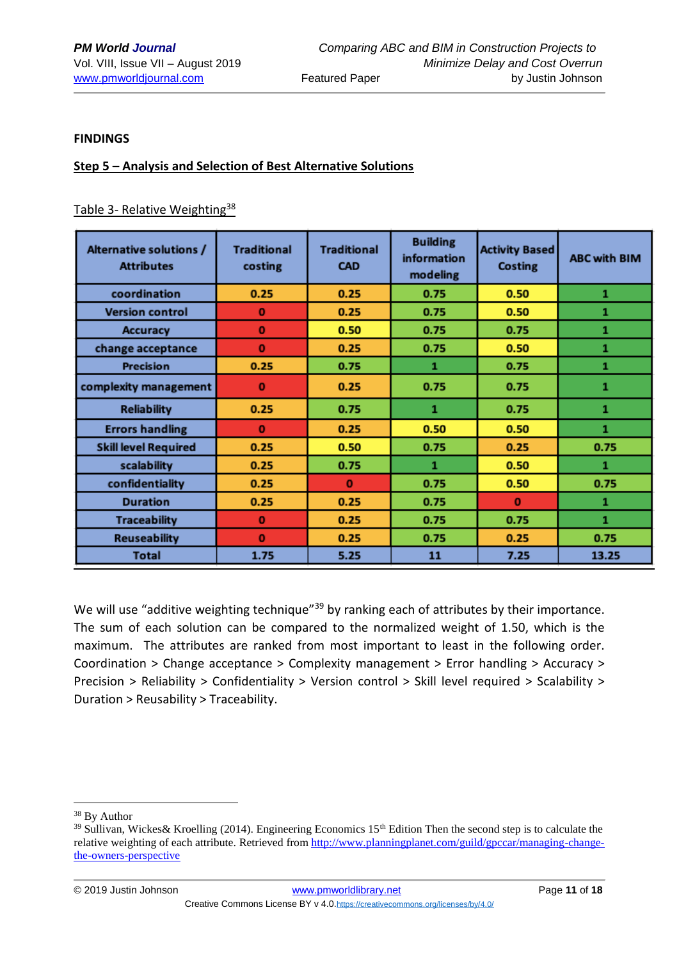#### **FINDINGS**

#### **Step 5 – Analysis and Selection of Best Alternative Solutions**

#### Table 3- Relative Weighting<sup>38</sup>

| Alternative solutions /<br><b>Attributes</b> | <b>Traditional</b><br>costing | <b>Traditional</b><br><b>CAD</b> | <b>Building</b><br>information<br>modeling | <b>Activity Based</b><br><b>Costing</b> | <b>ABC with BIM</b> |  |
|----------------------------------------------|-------------------------------|----------------------------------|--------------------------------------------|-----------------------------------------|---------------------|--|
| coordination                                 | 0.25                          | 0.25                             | 0.75                                       | 0.50                                    | 1                   |  |
| <b>Version control</b>                       | $\bf{0}$                      | 0.25                             | 0.75                                       | 0.50                                    | 1                   |  |
| <b>Accuracy</b>                              | o                             | 0.50                             | 0.75                                       | 0.75                                    | 1                   |  |
| change acceptance                            | o                             | 0.25                             | 0.75                                       | 0.50                                    | 1                   |  |
| <b>Precision</b>                             | 0.25                          | 0.75                             | 1                                          | 0.75                                    | 1                   |  |
| complexity management                        | 0                             | 0.25                             | 0.75                                       | 0.75                                    | 1                   |  |
| <b>Reliability</b>                           | 0.25                          | 0.75                             | 1                                          | 0.75                                    | 1                   |  |
| <b>Errors handling</b>                       | $\mathbf{0}$                  | 0.25                             | 0.50                                       | 0.50                                    | $\mathbf{1}$        |  |
| <b>Skill level Required</b>                  | 0.25                          | 0.50                             | 0.75                                       | 0.25                                    | 0.75                |  |
| scalability                                  | 0.25                          | 0.75                             | 1                                          | 0.50                                    | 1                   |  |
| confidentiality                              | 0.25                          | $\mathbf{0}$                     | 0.75                                       | 0.50                                    | 0.75                |  |
| <b>Duration</b>                              | 0.25                          | 0.25                             | 0.75                                       | $\mathbf{0}$                            | 1                   |  |
| <b>Traceability</b>                          | o                             | 0.25                             | 0.75                                       | 0.75                                    | 1                   |  |
| <b>Reuseability</b>                          | o                             | 0.25                             | 0.75                                       | 0.25                                    | 0.75                |  |
| <b>Total</b>                                 | 1.75                          | 5.25                             | 11                                         | 7.25                                    | 13.25               |  |

We will use "additive weighting technique"<sup>39</sup> by ranking each of attributes by their importance. The sum of each solution can be compared to the normalized weight of 1.50, which is the maximum. The attributes are ranked from most important to least in the following order. Coordination > Change acceptance > Complexity management > Error handling > Accuracy > Precision > Reliability > Confidentiality > Version control > Skill level required > Scalability > Duration > Reusability > Traceability.

<sup>&</sup>lt;sup>38</sup> By Author

<sup>&</sup>lt;sup>39</sup> Sullivan, Wickes& Kroelling (2014). Engineering Economics 15<sup>th</sup> Edition Then the second step is to calculate the relative weighting of each attribute. Retrieved from [http://www.planningplanet.com/guild/gpccar/managing-change](http://www.planningplanet.com/guild/gpccar/managing-change-the-owners-perspective)[the-owners-perspective](http://www.planningplanet.com/guild/gpccar/managing-change-the-owners-perspective)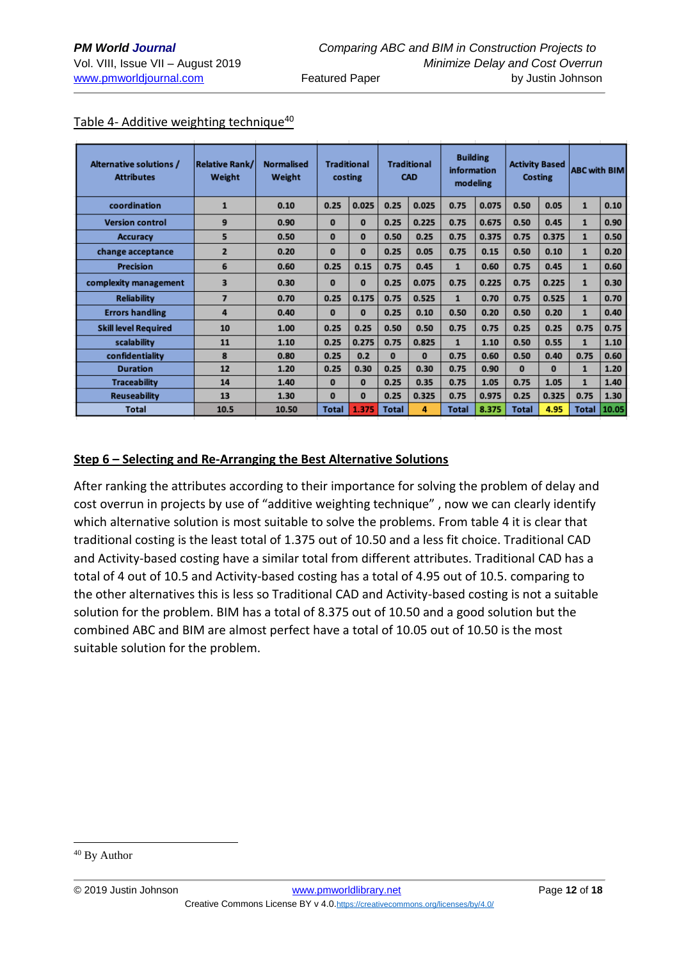| Alternative solutions /<br><b>Attributes</b> | <b>Relative Rank/</b><br>Weight | <b>Normalised</b><br>Weight | <b>Traditional</b><br><b>Traditional</b><br><b>CAD</b><br>costing |          | <b>Building</b><br>information<br>modeling |          | <b>Activity Based</b><br>Costing |       | <b>ABC with BIM</b> |          |              |       |
|----------------------------------------------|---------------------------------|-----------------------------|-------------------------------------------------------------------|----------|--------------------------------------------|----------|----------------------------------|-------|---------------------|----------|--------------|-------|
| coordination                                 | $\mathbf{1}$                    | 0.10                        | 0.25                                                              | 0.025    | 0.25                                       | 0.025    | 0.75                             | 0.075 | 0.50                | 0.05     | $\mathbf{1}$ | 0.10  |
| <b>Version control</b>                       | 9                               | 0.90                        | $\Omega$                                                          | $\bf{0}$ | 0.25                                       | 0.225    | 0.75                             | 0.675 | 0.50                | 0.45     | $\mathbf{1}$ | 0.90  |
| <b>Accuracy</b>                              | 5                               | 0.50                        | $\mathbf{0}$                                                      | $\bf{0}$ | 0.50                                       | 0.25     | 0.75                             | 0.375 | 0.75                | 0.375    | $\mathbf{1}$ | 0.50  |
| change acceptance                            | $\overline{2}$                  | 0.20                        | $\mathbf{0}$                                                      | $\bf{0}$ | 0.25                                       | 0.05     | 0.75                             | 0.15  | 0.50                | 0.10     | $\mathbf{1}$ | 0.20  |
| <b>Precision</b>                             | 6                               | 0.60                        | 0.25                                                              | 0.15     | 0.75                                       | 0.45     | $\mathbf{1}$                     | 0.60  | 0.75                | 0.45     | $\mathbf{1}$ | 0.60  |
| complexity management                        | 3                               | 0.30                        | $\Omega$                                                          | $\bf{0}$ | 0.25                                       | 0.075    | 0.75                             | 0.225 | 0.75                | 0.225    | $\mathbf{1}$ | 0.30  |
| <b>Reliability</b>                           | 7                               | 0.70                        | 0.25                                                              | 0.175    | 0.75                                       | 0.525    | $\mathbf{1}$                     | 0.70  | 0.75                | 0.525    | $\mathbf{1}$ | 0.70  |
| <b>Errors handling</b>                       | 4                               | 0.40                        | $\mathbf{0}$                                                      | $\bf{0}$ | 0.25                                       | 0.10     | 0.50                             | 0.20  | 0.50                | 0.20     | $\mathbf{1}$ | 0.40  |
| <b>Skill level Required</b>                  | 10                              | 1.00                        | 0.25                                                              | 0.25     | 0.50                                       | 0.50     | 0.75                             | 0.75  | 0.25                | 0.25     | 0.75         | 0.75  |
| scalability                                  | 11                              | 1.10                        | 0.25                                                              | 0.275    | 0.75                                       | 0.825    | $\mathbf{1}$                     | 1.10  | 0.50                | 0.55     | $\mathbf{1}$ | 1.10  |
| confidentiality                              | 8                               | 0.80                        | 0.25                                                              | 0.2      | $\bf{0}$                                   | $\bf{0}$ | 0.75                             | 0.60  | 0.50                | 0.40     | 0.75         | 0.60  |
| <b>Duration</b>                              | 12                              | 1.20                        | 0.25                                                              | 0.30     | 0.25                                       | 0.30     | 0.75                             | 0.90  | $\mathbf{0}$        | $\bf{0}$ | $\mathbf{1}$ | 1.20  |
| <b>Traceability</b>                          | 14                              | 1.40                        | $\bf{0}$                                                          | $\bf{0}$ | 0.25                                       | 0.35     | 0.75                             | 1.05  | 0.75                | 1.05     | $\mathbf{1}$ | 1.40  |
| <b>Reuseability</b>                          | 13                              | 1.30                        | $\bf{0}$                                                          | $\bf{0}$ | 0.25                                       | 0.325    | 0.75                             | 0.975 | 0.25                | 0.325    | 0.75         | 1.30  |
| <b>Total</b>                                 | 10.5                            | 10.50                       | <b>Total</b>                                                      | 1.375    | <b>Total</b>                               | 4        | <b>Total</b>                     | 8.375 | <b>Total</b>        | 4.95     | <b>Total</b> | 10.05 |

#### Table 4- Additive weighting technique<sup>40</sup>

### **Step 6 – Selecting and Re-Arranging the Best Alternative Solutions**

After ranking the attributes according to their importance for solving the problem of delay and cost overrun in projects by use of "additive weighting technique" , now we can clearly identify which alternative solution is most suitable to solve the problems. From table 4 it is clear that traditional costing is the least total of 1.375 out of 10.50 and a less fit choice. Traditional CAD and Activity-based costing have a similar total from different attributes. Traditional CAD has a total of 4 out of 10.5 and Activity-based costing has a total of 4.95 out of 10.5. comparing to the other alternatives this is less so Traditional CAD and Activity-based costing is not a suitable solution for the problem. BIM has a total of 8.375 out of 10.50 and a good solution but the combined ABC and BIM are almost perfect have a total of 10.05 out of 10.50 is the most suitable solution for the problem.

<sup>40</sup> By Author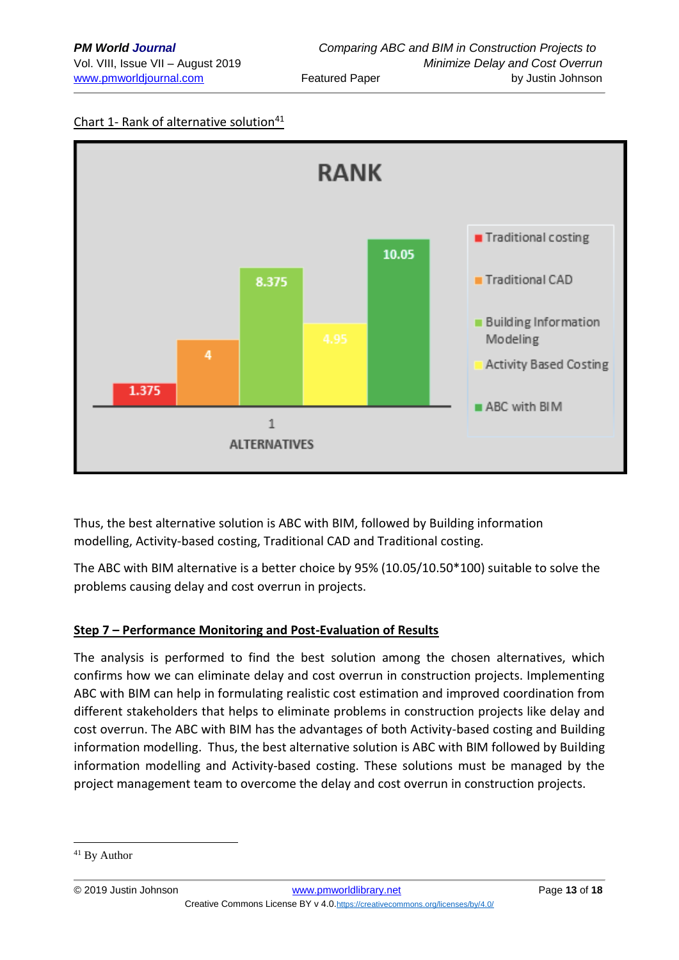## Chart 1- Rank of alternative solution<sup>41</sup>



Thus, the best alternative solution is ABC with BIM, followed by Building information modelling, Activity-based costing, Traditional CAD and Traditional costing.

The ABC with BIM alternative is a better choice by 95% (10.05/10.50\*100) suitable to solve the problems causing delay and cost overrun in projects.

## **Step 7 – Performance Monitoring and Post-Evaluation of Results**

The analysis is performed to find the best solution among the chosen alternatives, which confirms how we can eliminate delay and cost overrun in construction projects. Implementing ABC with BIM can help in formulating realistic cost estimation and improved coordination from different stakeholders that helps to eliminate problems in construction projects like delay and cost overrun. The ABC with BIM has the advantages of both Activity-based costing and Building information modelling. Thus, the best alternative solution is ABC with BIM followed by Building information modelling and Activity-based costing. These solutions must be managed by the project management team to overcome the delay and cost overrun in construction projects.

<sup>41</sup> By Author

<sup>© 2019</sup> Justin Johnson [www.pmworldlibrary.net](http://www.pmworldlibrary.net/) Page **13** of **18** Creative Commons License BY v 4.0.<https://creativecommons.org/licenses/by/4.0/>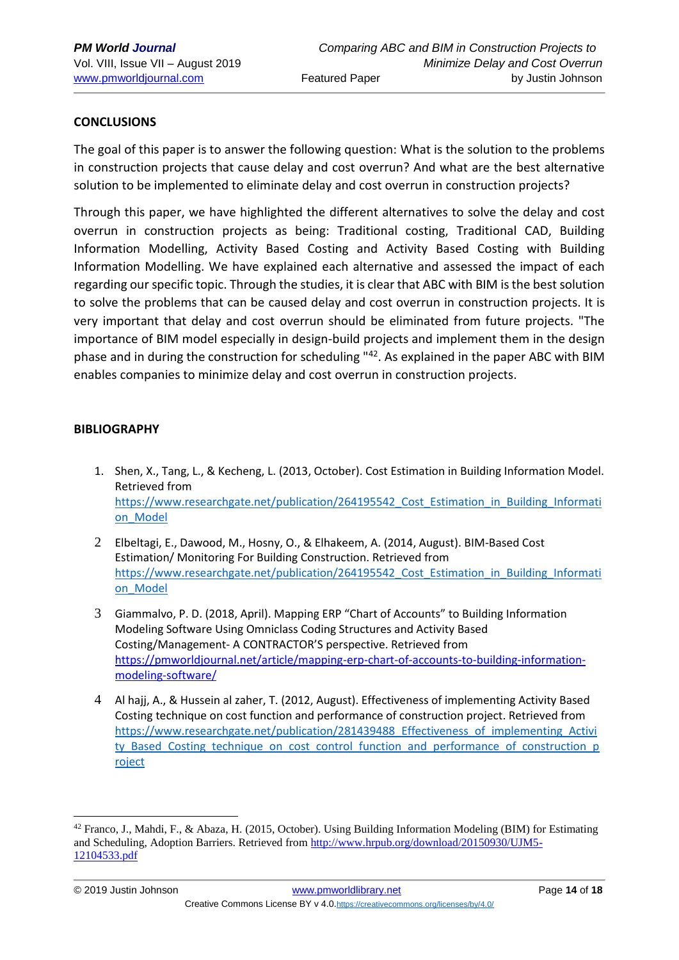### **CONCLUSIONS**

The goal of this paper is to answer the following question: What is the solution to the problems in construction projects that cause delay and cost overrun? And what are the best alternative solution to be implemented to eliminate delay and cost overrun in construction projects?

Through this paper, we have highlighted the different alternatives to solve the delay and cost overrun in construction projects as being: Traditional costing, Traditional CAD, Building Information Modelling, Activity Based Costing and Activity Based Costing with Building Information Modelling. We have explained each alternative and assessed the impact of each regarding our specific topic. Through the studies, it is clear that ABC with BIM is the best solution to solve the problems that can be caused delay and cost overrun in construction projects. It is very important that delay and cost overrun should be eliminated from future projects. "The importance of BIM model especially in design-build projects and implement them in the design phase and in during the construction for scheduling "42. As explained in the paper ABC with BIM enables companies to minimize delay and cost overrun in construction projects.

#### **BIBLIOGRAPHY**

- 1. Shen, X., Tang, L., & Kecheng, L. (2013, October). Cost Estimation in Building Information Model. Retrieved from https://www.researchgate.net/publication/264195542 Cost\_Estimation\_in\_Building\_Informati [on\\_Model](https://www.researchgate.net/publication/264195542_Cost_Estimation_in_Building_Information_Model)
- 2 Elbeltagi, E., Dawood, M., Hosny, O., & Elhakeem, A. (2014, August). BIM-Based Cost Estimation/ Monitoring For Building Construction. Retrieved from https://www.researchgate.net/publication/264195542 Cost\_Estimation\_in\_Building\_Informati [on\\_Model](https://www.researchgate.net/publication/264195542_Cost_Estimation_in_Building_Information_Model)
- 3 Giammalvo, P. D. (2018, April). Mapping ERP "Chart of Accounts" to Building Information Modeling Software Using Omniclass Coding Structures and Activity Based Costing/Management- A CONTRACTOR'S perspective. Retrieved from [https://pmworldjournal.net/article/mapping-erp-chart-of-accounts-to-building-information](https://pmworldjournal.net/article/mapping-erp-chart-of-accounts-to-building-information-modeling-software/)[modeling-software/](https://pmworldjournal.net/article/mapping-erp-chart-of-accounts-to-building-information-modeling-software/)
- 4 Al hajj, A., & Hussein al zaher, T. (2012, August). Effectiveness of implementing Activity Based Costing technique on cost function and performance of construction project. Retrieved from [https://www.researchgate.net/publication/281439488\\_Effectiveness\\_of\\_implementing\\_Activi](https://www.researchgate.net/publication/281439488_Effectiveness_of_implementing_Activity_Based_Costing_technique_on_cost_control_function_and_performance_of_construction_project) [ty\\_Based\\_Costing\\_technique\\_on\\_cost\\_control\\_function\\_and\\_performance\\_of\\_construction\\_p](https://www.researchgate.net/publication/281439488_Effectiveness_of_implementing_Activity_Based_Costing_technique_on_cost_control_function_and_performance_of_construction_project) [roject](https://www.researchgate.net/publication/281439488_Effectiveness_of_implementing_Activity_Based_Costing_technique_on_cost_control_function_and_performance_of_construction_project)

<sup>42</sup> Franco, J., Mahdi, F., & Abaza, H. (2015, October). Using Building Information Modeling (BIM) for Estimating and Scheduling, Adoption Barriers. Retrieved from [http://www.hrpub.org/download/20150930/UJM5-](http://www.hrpub.org/download/20150930/UJM5-12104533.pdf) [12104533.pdf](http://www.hrpub.org/download/20150930/UJM5-12104533.pdf)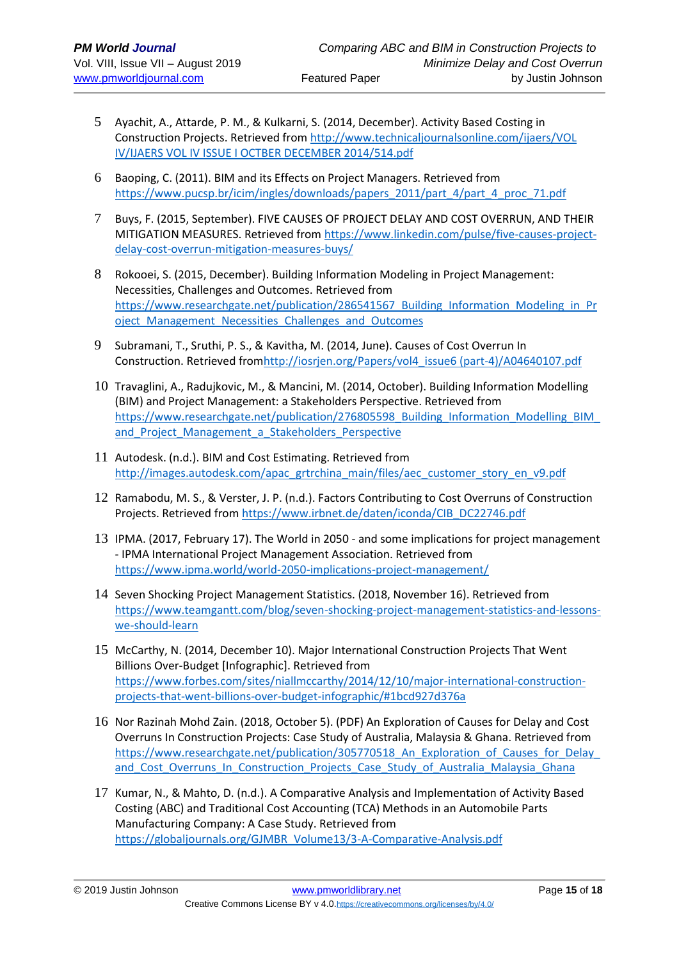- 5 Ayachit, A., Attarde, P. M., & Kulkarni, S. (2014, December). Activity Based Costing in Construction Projects. Retrieved from [http://www.technicaljournalsonline.com/ijaers/VOL](http://www.technicaljournalsonline.com/ijaers/VOL%20IV/IJAERS%20VOL%20IV%20ISSUE%20I%20OCTBER%20DECEMBER%202014/514.pdf)  [IV/IJAERS VOL IV ISSUE I OCTBER DECEMBER 2014/514.pdf](http://www.technicaljournalsonline.com/ijaers/VOL%20IV/IJAERS%20VOL%20IV%20ISSUE%20I%20OCTBER%20DECEMBER%202014/514.pdf)
- 6 Baoping, C. (2011). BIM and its Effects on Project Managers. Retrieved from [https://www.pucsp.br/icim/ingles/downloads/papers\\_2011/part\\_4/part\\_4\\_proc\\_71.pdf](https://www.pucsp.br/icim/ingles/downloads/papers_2011/part_4/part_4_proc_71.pdf)
- 7 Buys, F. (2015, September). FIVE CAUSES OF PROJECT DELAY AND COST OVERRUN, AND THEIR MITIGATION MEASURES. Retrieved from [https://www.linkedin.com/pulse/five-causes-project](file:///C:/2018%20Course%20Offerings/SKEMA/Lille%203/Lille%203-%202nd%20Drafts/se/five-causes-project-delay-cost-overrun-mitigation-measures-buys)[delay-cost-overrun-mitigation-measures-buys/](file:///C:/2018%20Course%20Offerings/SKEMA/Lille%203/Lille%203-%202nd%20Drafts/se/five-causes-project-delay-cost-overrun-mitigation-measures-buys)
- 8 Rokooei, S. (2015, December). Building Information Modeling in Project Management: Necessities, Challenges and Outcomes. Retrieved from https://www.researchgate.net/publication/286541567 Building Information Modeling in Pr [oject\\_Management\\_Necessities\\_Challenges\\_and\\_Outcomes](https://www.researchgate.net/publication/286541567_Building_Information_Modeling_in_Project_Management_Necessities_Challenges_and_Outcomes)
- 9 Subramani, T., Sruthi, P. S., & Kavitha, M. (2014, June). Causes of Cost Overrun In Construction. Retrieved fro[mhttp://iosrjen.org/Papers/vol4\\_issue6 \(part-4\)/A04640107.pdf](http://iosrjen.org/Papers/vol4_issue6%20(part-4)/A04640107.pdf)
- 10 Travaglini, A., Radujkovic, M., & Mancini, M. (2014, October). Building Information Modelling (BIM) and Project Management: a Stakeholders Perspective. Retrieved from https://www.researchgate.net/publication/276805598\_Building\_Information\_Modelling\_BIM and Project Management a Stakeholders Perspective
- 11 Autodesk. (n.d.). BIM and Cost Estimating. Retrieved from [http://images.autodesk.com/apac\\_grtrchina\\_main/files/aec\\_customer\\_story\\_en\\_v9.pdf](http://images.autodesk.com/apac_grtrchina_main/files/aec_customer_story_en_v9.pdf)
- 12 Ramabodu, M. S., & Verster, J. P. (n.d.). Factors Contributing to Cost Overruns of Construction Projects. Retrieved from [https://www.irbnet.de/daten/iconda/CIB\\_DC22746.pdf](https://www.irbnet.de/daten/iconda/CIB_DC22746.pdf)
- 13 IPMA. (2017, February 17). The World in 2050 and some implications for project management - IPMA International Project Management Association. Retrieved from <https://www.ipma.world/world-2050-implications-project-management/>
- 14 Seven Shocking Project Management Statistics. (2018, November 16). Retrieved from [https://www.teamgantt.com/blog/seven-shocking-project-management-statistics-and-lessons](https://www.teamgantt.com/blog/seven-shocking-project-management-statistics-and-lessons-we-should-learn)[we-should-learn](https://www.teamgantt.com/blog/seven-shocking-project-management-statistics-and-lessons-we-should-learn)
- 15 McCarthy, N. (2014, December 10). Major International Construction Projects That Went Billions Over-Budget [Infographic]. Retrieved from [https://www.forbes.com/sites/niallmccarthy/2014/12/10/major-international-construction](https://www.forbes.com/sites/niallmccarthy/2014/12/10/major-international-construction-projects-that-went-billions-over-budget-infographic/#1bcd927d376a)[projects-that-went-billions-over-budget-infographic/#1bcd927d376a](https://www.forbes.com/sites/niallmccarthy/2014/12/10/major-international-construction-projects-that-went-billions-over-budget-infographic/#1bcd927d376a)
- 16 Nor Razinah Mohd Zain. (2018, October 5). (PDF) An Exploration of Causes for Delay and Cost Overruns In Construction Projects: Case Study of Australia, Malaysia & Ghana. Retrieved from https://www.researchgate.net/publication/305770518 An Exploration of Causes for Delay and Cost Overruns In Construction Projects Case Study of Australia Malaysia Ghana
- 17 Kumar, N., & Mahto, D. (n.d.). A Comparative Analysis and Implementation of Activity Based Costing (ABC) and Traditional Cost Accounting (TCA) Methods in an Automobile Parts Manufacturing Company: A Case Study. Retrieved from [https://globaljournals.org/GJMBR\\_Volume13/3-A-Comparative-Analysis.pdf](https://globaljournals.org/GJMBR_Volume13/3-A-Comparative-Analysis.pdf)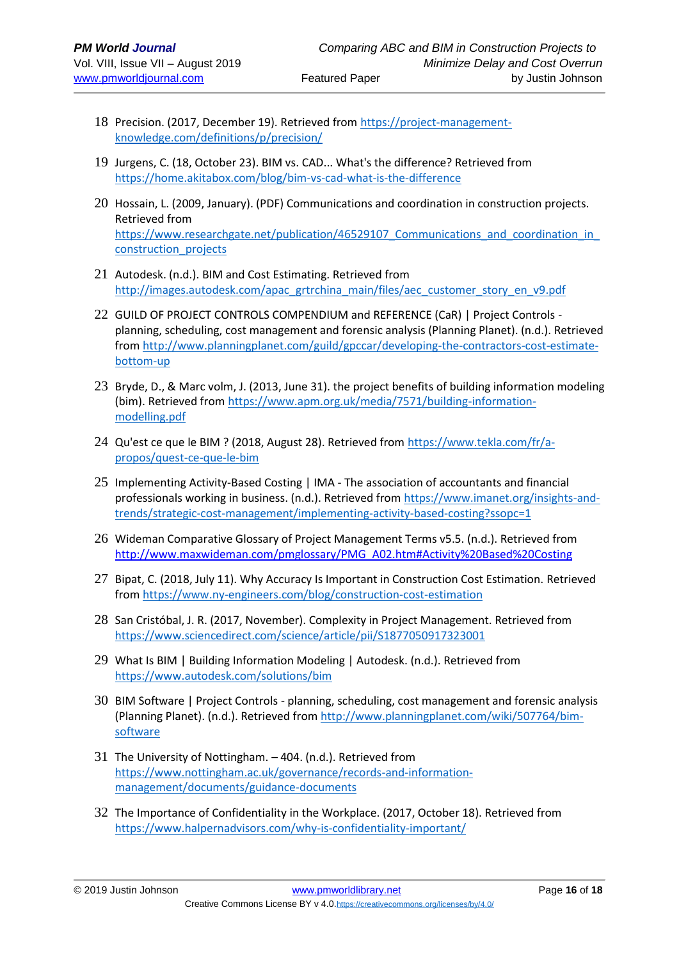- 18 Precision. (2017, December 19). Retrieved from [https://project-management](https://project-management-knowledge.com/definitions/p/precision/)[knowledge.com/definitions/p/precision/](https://project-management-knowledge.com/definitions/p/precision/)
- 19 Jurgens, C. (18, October 23). BIM vs. CAD... What's the difference? Retrieved from <https://home.akitabox.com/blog/bim-vs-cad-what-is-the-difference>
- 20 Hossain, L. (2009, January). (PDF) Communications and coordination in construction projects. Retrieved from https://www.researchgate.net/publication/46529107 Communications and coordination in [construction\\_projects](https://www.researchgate.net/publication/46529107_Communications_and_coordination_in_construction_projects)
- 21 Autodesk. (n.d.). BIM and Cost Estimating. Retrieved from [http://images.autodesk.com/apac\\_grtrchina\\_main/files/aec\\_customer\\_story\\_en\\_v9.pdf](http://images.autodesk.com/apac_grtrchina_main/files/aec_customer_story_en_v9.pdf)
- 22 GUILD OF PROJECT CONTROLS COMPENDIUM and REFERENCE (CaR) | Project Controls planning, scheduling, cost management and forensic analysis (Planning Planet). (n.d.). Retrieved from [http://www.planningplanet.com/guild/gpccar/developing-the-contractors-cost-estimate](http://www.planningplanet.com/guild/gpccar/developing-the-contractors-cost-estimate-bottom-up)[bottom-up](http://www.planningplanet.com/guild/gpccar/developing-the-contractors-cost-estimate-bottom-up)
- 23 Bryde, D., & Marc volm, J. (2013, June 31). the project benefits of building information modeling (bim). Retrieved from [https://www.apm.org.uk/media/7571/building-information](https://www.apm.org.uk/media/7571/building-information-modelling.pdf)[modelling.pdf](https://www.apm.org.uk/media/7571/building-information-modelling.pdf)
- 24 Qu'est ce que le BIM ? (2018, August 28). Retrieved from [https://www.tekla.com/fr/a](https://www.tekla.com/fr/a-propos/quest-ce-que-le-bim)[propos/quest-ce-que-le-bim](https://www.tekla.com/fr/a-propos/quest-ce-que-le-bim)
- 25 Implementing Activity-Based Costing | IMA The association of accountants and financial professionals working in business. (n.d.). Retrieved from [https://www.imanet.org/insights-and](https://www.imanet.org/insights-and-trends/strategic-cost-management/implementing-activity-based-costing?ssopc=1)[trends/strategic-cost-management/implementing-activity-based-costing?ssopc=1](https://www.imanet.org/insights-and-trends/strategic-cost-management/implementing-activity-based-costing?ssopc=1)
- 26 Wideman Comparative Glossary of Project Management Terms v5.5. (n.d.). Retrieved from [http://www.maxwideman.com/pmglossary/PMG\\_A02.htm#Activity%20Based%20Costing](http://www.maxwideman.com/pmglossary/PMG_A02.htm#Activity%20Based%20Costing)
- 27 Bipat, C. (2018, July 11). Why Accuracy Is Important in Construction Cost Estimation. Retrieved from<https://www.ny-engineers.com/blog/construction-cost-estimation>
- 28 San Cristóbal, J. R. (2017, November). Complexity in Project Management. Retrieved from <https://www.sciencedirect.com/science/article/pii/S1877050917323001>
- 29 What Is BIM | Building Information Modeling | Autodesk. (n.d.). Retrieved from <https://www.autodesk.com/solutions/bim>
- 30 BIM Software | Project Controls planning, scheduling, cost management and forensic analysis (Planning Planet). (n.d.). Retrieved from [http://www.planningplanet.com/wiki/507764/bim](http://www.planningplanet.com/wiki/507764/bim-software)[software](http://www.planningplanet.com/wiki/507764/bim-software)
- 31 The University of Nottingham. 404. (n.d.). Retrieved from [https://www.nottingham.ac.uk/governance/records-and-information](https://www.nottingham.ac.uk/governance/records-and-information-management/documents/guidance-documents)[management/documents/guidance-documents](https://www.nottingham.ac.uk/governance/records-and-information-management/documents/guidance-documents)
- 32 The Importance of Confidentiality in the Workplace. (2017, October 18). Retrieved from <https://www.halpernadvisors.com/why-is-confidentiality-important/>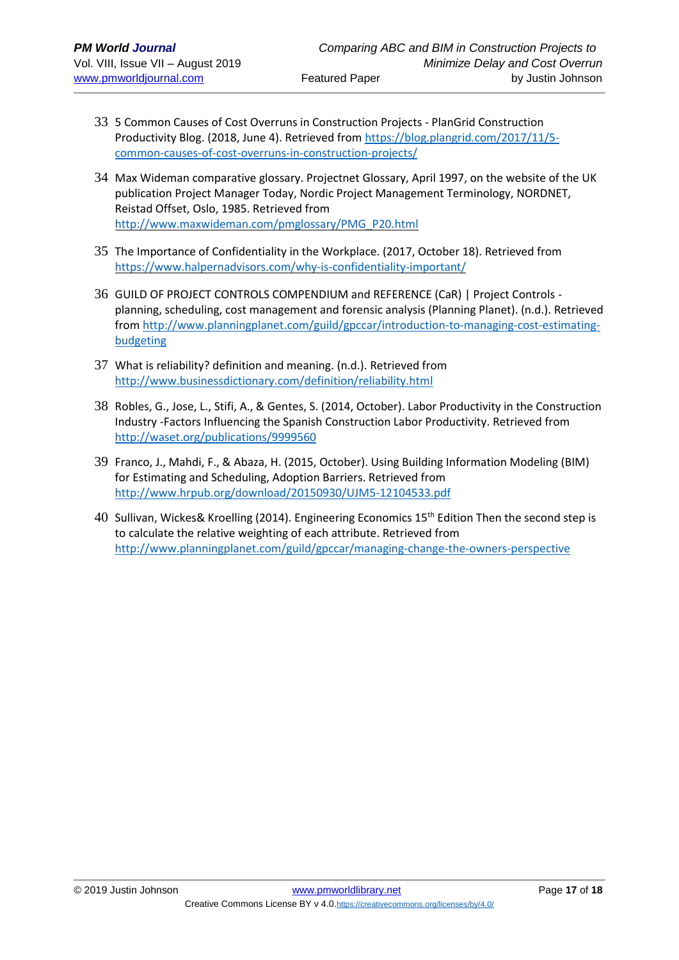- 33 5 Common Causes of Cost Overruns in Construction Projects PlanGrid Construction Productivity Blog. (2018, June 4). Retrieved from [https://blog.plangrid.com/2017/11/5](https://blog.plangrid.com/2017/11/5-common-causes-of-cost-overruns-in-construction-projects/) [common-causes-of-cost-overruns-in-construction-projects/](https://blog.plangrid.com/2017/11/5-common-causes-of-cost-overruns-in-construction-projects/)
- 34 Max Wideman comparative glossary. Projectnet Glossary, April 1997, on the website of the UK publication Project Manager Today, Nordic Project Management Terminology, NORDNET, Reistad Offset, Oslo, 1985. Retrieved from [http://www.maxwideman.com/pmglossary/PMG\\_P20.html](http://www.maxwideman.com/pmglossary/PMG_P20.html)
- 35 The Importance of Confidentiality in the Workplace. (2017, October 18). Retrieved from <https://www.halpernadvisors.com/why-is-confidentiality-important/>
- 36 GUILD OF PROJECT CONTROLS COMPENDIUM and REFERENCE (CaR) | Project Controls planning, scheduling, cost management and forensic analysis (Planning Planet). (n.d.). Retrieved from [http://www.planningplanet.com/guild/gpccar/introduction-to-managing-cost-estimating](http://www.planningplanet.com/guild/gpccar/introduction-to-managing-cost-estimating-budgeting)[budgeting](http://www.planningplanet.com/guild/gpccar/introduction-to-managing-cost-estimating-budgeting)
- 37 What is reliability? definition and meaning. (n.d.). Retrieved from <http://www.businessdictionary.com/definition/reliability.html>
- 38 Robles, G., Jose, L., Stifi, A., & Gentes, S. (2014, October). Labor Productivity in the Construction Industry -Factors Influencing the Spanish Construction Labor Productivity. Retrieved from <http://waset.org/publications/9999560>
- 39 Franco, J., Mahdi, F., & Abaza, H. (2015, October). Using Building Information Modeling (BIM) for Estimating and Scheduling, Adoption Barriers. Retrieved from <http://www.hrpub.org/download/20150930/UJM5-12104533.pdf>
- 40 Sullivan, Wickes& Kroelling (2014). Engineering Economics 15th Edition Then the second step is to calculate the relative weighting of each attribute. Retrieved from <http://www.planningplanet.com/guild/gpccar/managing-change-the-owners-perspective>